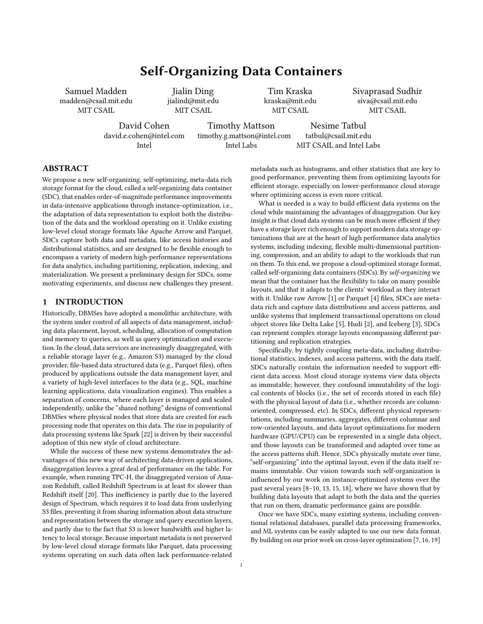# Self-Organizing Data Containers

Samuel Madden madden@csail.mit.edu MIT CSAIL

Jialin Ding jialind@mit.edu MIT CSAIL

Tim Kraska kraska@mit.edu MIT CSAIL

Sivaprasad Sudhir siva@csail.mit.edu MIT CSAIL

David Cohen david.e.cohen@intel.com Intel

Timothy Mattson timothy.g.mattson@intel.com Intel Labs

Nesime Tatbul tatbul@csail.mit.edu MIT CSAIL and Intel Labs

# ABSTRACT

We propose a new self-organizing, self-optimizing, meta-data rich storage format for the cloud, called a self-organizing data container (SDC), that enables order-of-magnitude performance improvements in data-intensive applications through instance-optimization, i.e., the adaptation of data representation to exploit both the distribution of the data and the workload operating on it. Unlike existing low-level cloud storage formats like Apache Arrow and Parquet, SDCs capture both data and metadata, like access histories and distributional statistics, and are designed to be flexible enough to encompass a variety of modern high-performance representations for data analytics, including partitioning, replication, indexing, and materialization. We present a preliminary design for SDCs, some motivating experiments, and discuss new challenges they present.

#### 1 INTRODUCTION

Historically, DBMSes have adopted a monolithic architecture, with the system under control of all aspects of data management, including data placement, layout, scheduling, allocation of computation and memory to queries, as well as query optimization and execution. In the cloud, data services are increasingly disaggregated, with a reliable storage layer (e.g., Amazon S3) managed by the cloud provider, file-based data structured data (e.g., Parquet files), often produced by applications outside the data management layer, and a variety of high-level interfaces to the data (e.g., SQL, machine learning applications, data visualization engines). This enables a separation of concerns, where each layer is managed and scaled independently, unlike the "shared nothing" designs of conventional DBMSes where physical nodes that store data are created for each processing node that operates on this data. The rise in popularity of data processing systems like Spark [\[22\]](#page-5-0) is driven by their successful adoption of this new style of cloud architecture.

While the success of these new systems demonstrates the advantages of this new way of architecting data-driven applications, disaggregation leaves a great deal of performance on the table. For example, when running TPC-H, the disaggregated version of Amazon Redshift, called Redshift Spectrum is at least 8× slower than Redshift itself [\[20\]](#page-5-1). This inefficiency is partly due to the layered design of Spectrum, which requires it to load data from underlying S3 files, preventing it from sharing information about data structure and representation between the storage and query execution layers, and partly due to the fact that S3 is lower bandwidth and higher latency to local storage. Because important metadata is not preserved by low-level cloud storage formats like Parquet, data processing systems operating on such data often lack performance-related

metadata such as histograms, and other statistics that are key to good performance, preventing them from optimizing layouts for efficient storage, especially on lower-performance cloud storage where optimizing access is even more critical.

What is needed is a way to build efficient data systems on the cloud while maintaining the advantages of disaggregation. Our key insight is that cloud data systems can be much more efficient if they have a storage layer rich enough to support modern data storage optimizations that are at the heart of high performance data analytics systems, including indexing, flexible multi-dimensional partitioning, compression, and an ability to adapt to the workloads that run on them. To this end, we propose a cloud-optimized storage format, called self-organizing data containers (SDCs). By self-organizing we mean that the container has the flexibility to take on many possible layouts, and that it adapts to the clients' workload as they interact with it. Unlike raw Arrow [\[1\]](#page-5-2) or Parquet [\[4\]](#page-5-3) files, SDCs are metadata rich and capture data distributions and access patterns, and unlike systems that implement transactional operations on cloud object stores like Delta Lake [\[5\]](#page-5-4), Hudi [\[2\]](#page-5-5), and Iceberg [\[3\]](#page-5-6), SDCs can represent complex storage layouts encompassing different partitioning and replication strategies.

Specifically, by tightly coupling meta-data, including distributional statistics, indexes, and access patterns, with the data itself, SDCs naturally contain the information needed to support efficient data access. Most cloud storage systems view data objects as immutable; however, they confound immutability of the logical contents of blocks (i.e., the set of records stored in each file) with the physical layout of data (i.e., whether records are columnoriented, compressed, etc). In SDCs, different physical representations, including summaries, aggregates, different columnar and row-oriented layouts, and data layout optimizations for modern hardware (GPU/CPU) can be represented in a single data object, and those layouts can be transformed and adapted over time as the access patterns shift. Hence, SDCs physically mutate over time, "self-organizing" into the optimal layout, even if the data itself remains immutable. Our vision towards such self-organization is influenced by our work on instance-optimized systems over the past several years [\[8–](#page-5-7)[10,](#page-5-8) [13,](#page-5-9) [15,](#page-5-10) [18\]](#page-5-11), where we have shown that by building data layouts that adapt to both the data and the queries that run on them, dramatic performance gains are possible.

Once we have SDCs, many existing systems, including conventional relational databases, parallel data processing frameworks, and ML systems can be easily adapted to use our new data format. By building on our prior work on cross-layer optimization [\[7,](#page-5-12) [16,](#page-5-13) [19\]](#page-5-14)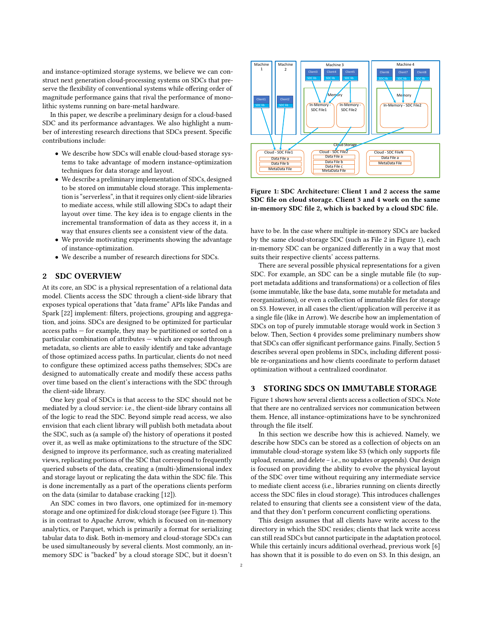and instance-optimized storage systems, we believe we can construct next generation cloud-processing systems on SDCs that preserve the flexibility of conventional systems while offering order of magnitude performance gains that rival the performance of monolithic systems running on bare-metal hardware.

In this paper, we describe a preliminary design for a cloud-based SDC and its performance advantages. We also highlight a number of interesting research directions that SDCs present. Specific contributions include:

- We describe how SDCs will enable cloud-based storage systems to take advantage of modern instance-optimization techniques for data storage and layout.
- We describe a preliminary implementation of SDCs, designed to be stored on immutable cloud storage. This implementation is "serverless", in that it requires only client-side libraries to mediate access, while still allowing SDCs to adapt their layout over time. The key idea is to engage clients in the incremental transformation of data as they access it, in a way that ensures clients see a consistent view of the data.
- We provide motivating experiments showing the advantage of instance-optimization.
- We describe a number of research directions for SDCs.

# 2 SDC OVERVIEW

At its core, an SDC is a physical representation of a relational data model. Clients access the SDC through a client-side library that exposes typical operations that "data frame" APIs like Pandas and Spark [\[22\]](#page-5-0) implement: filters, projections, grouping and aggregation, and joins. SDCs are designed to be optimized for particular access paths — for example, they may be partitioned or sorted on a particular combination of attributes — which are exposed through metadata, so clients are able to easily identify and take advantage of those optimized access paths. In particular, clients do not need to configure these optimized access paths themselves; SDCs are designed to automatically create and modify these access paths over time based on the client's interactions with the SDC through the client-side library.

One key goal of SDCs is that access to the SDC should not be mediated by a cloud service: i.e., the client-side library contains all of the logic to read the SDC. Beyond simple read access, we also envision that each client library will publish both metadata about the SDC, such as (a sample of) the history of operations it posted over it, as well as make optimizations to the structure of the SDC designed to improve its performance, such as creating materialized views, replicating portions of the SDC that correspond to frequently queried subsets of the data, creating a (multi-)dimensional index and storage layout or replicating the data within the SDC file. This is done incrementally as a part of the operations clients perform on the data (similar to database cracking [\[12\]](#page-5-15)).

An SDC comes in two flavors, one optimized for in-memory storage and one optimized for disk/cloud storage (see Figure [1\)](#page-1-0). This is in contrast to Apache Arrow, which is focused on in-memory analytics, or Parquet, which is primarily a format for serializing tabular data to disk. Both in-memory and cloud-storage SDCs can be used simultaneously by several clients. Most commonly, an inmemory SDC is "backed" by a cloud storage SDC, but it doesn't

<span id="page-1-0"></span>

Figure 1: SDC Architecture: Client 1 and 2 access the same SDC file on cloud storage. Client 3 and 4 work on the same in-memory SDC file 2, which is backed by a cloud SDC file.

have to be. In the case where multiple in-memory SDCs are backed by the same cloud-storage SDC (such as File 2 in Figure [1\)](#page-1-0), each in-memory SDC can be organized differently in a way that most suits their respective clients' access patterns.

There are several possible physical representations for a given SDC. For example, an SDC can be a single mutable file (to support metadata additions and transformations) or a collection of files (some immutable, like the base data, some mutable for metadata and reorganizations), or even a collection of immutable files for storage on S3. However, in all cases the client/application will perceive it as a single file (like in Arrow). We describe how an implementation of SDCs on top of purely immutable storage would work in Section [3](#page-1-1) below. Then, Section [4](#page-3-0) provides some preliminary numbers show that SDCs can offer significant performance gains. Finally, Section [5](#page-3-1) describes several open problems in SDCs, including different possible re-organizations and how clients coordinate to perform dataset optimization without a centralized coordinator.

#### <span id="page-1-1"></span>3 STORING SDCS ON IMMUTABLE STORAGE

Figure [1](#page-1-0) shows how several clients access a collection of SDCs. Note that there are no centralized services nor communication between them. Hence, all instance-optimizations have to be synchronized through the file itself.

In this section we describe how this is achieved. Namely, we describe how SDCs can be stored as a collection of objects on an immutable cloud-storage system like S3 (which only supports file upload, rename, and delete – i.e., no updates or appends). Our design is focused on providing the ability to evolve the physical layout of the SDC over time without requiring any intermediate service to mediate client access (i.e., libraries running on clients directly access the SDC files in cloud storage). This introduces challenges related to ensuring that clients see a consistent view of the data, and that they don't perform concurrent conflicting operations.

This design assumes that all clients have write access to the directory in which the SDC resides; clients that lack write access can still read SDCs but cannot participate in the adaptation protocol. While this certainly incurs additional overhead, previous work [\[6\]](#page-5-16) has shown that it is possible to do even on S3. In this design, an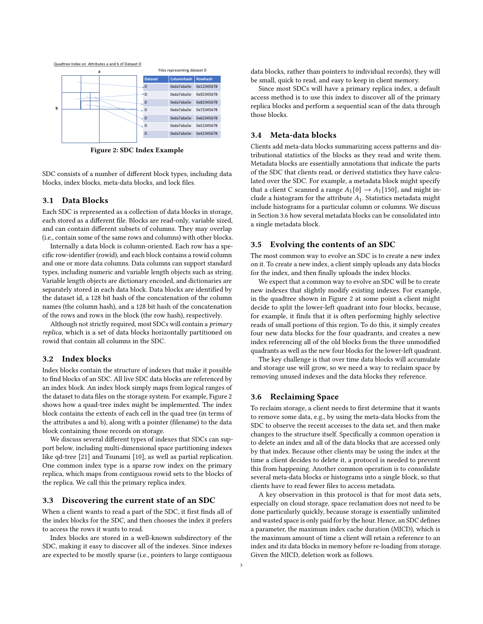<span id="page-2-0"></span>

Figure 2: SDC Index Example

SDC consists of a number of different block types, including data blocks, index blocks, meta-data blocks, and lock files.

## 3.1 Data Blocks

Each SDC is represented as a collection of data blocks in storage, each stored as a different file. Blocks are read-only, variable sized, and can contain different subsets of columns. They may overlap (i.e., contain some of the same rows and columns) with other blocks.

Internally a data block is column-oriented. Each row has a specific row-identifier (rowid), and each block contains a rowid column and one or more data columns. Data columns can support standard types, including numeric and variable length objects such as string. Variable length objects are dictionary encoded, and dictionaries are separately stored in each data block. Data blocks are identified by the dataset id, a 128 bit hash of the concatenation of the column names (the column hash), and a 128 bit hash of the concatenation of the rows and rows in the block (the row hash), respectively.

Although not strictly required, most SDCs will contain a primary replica, which is a set of data blocks horizontally partitioned on rowid that contain all columns in the SDC.

#### 3.2 Index blocks

Index blocks contain the structure of indexes that make it possible to find blocks of an SDC. All live SDC data blocks are referenced by an index block. An index block simply maps from logical ranges of the dataset to data files on the storage system. For example, Figure [2](#page-2-0) shows how a quad-tree index might be implemented. The index block contains the extents of each cell in the quad tree (in terms of the attributes a and b), along with a pointer (filename) to the data block containing those records on storage.

We discuss several different types of indexes that SDCs can support below, including multi-dimensional space partitioning indexes like qd-tree [\[21\]](#page-5-17) and Tsunami [\[10\]](#page-5-8), as well as partial replication. One common index type is a sparse row index on the primary replica, which maps from contiguous rowid sets to the blocks of the replica. We call this the primary replica index.

#### 3.3 Discovering the current state of an SDC

When a client wants to read a part of the SDC, it first finds all of the index blocks for the SDC, and then chooses the index it prefers to access the rows it wants to read.

Index blocks are stored in a well-known subdirectory of the SDC, making it easy to discover all of the indexes. Since indexes are expected to be mostly sparse (i.e., pointers to large contiguous

data blocks, rather than pointers to individual records), they will be small, quick to read, and easy to keep in client memory.

Since most SDCs will have a primary replica index, a default access method is to use this index to discover all of the primary replica blocks and perform a sequential scan of the data through those blocks.

#### 3.4 Meta-data blocks

Clients add meta-data blocks summarizing access patterns and distributional statistics of the blocks as they read and write them. Metadata blocks are essentially annotations that indicate the parts of the SDC that clients read, or derived statistics they have calculated over the SDC. For example, a metadata block might specify that a client C scanned a range  $A_1[0] \rightarrow A_1[150]$ , and might include a histogram for the attribute  $A_1$ . Statistics metadata might include histograms for a particular column or columns. We discuss in Section [3.6](#page-2-1) how several metadata blocks can be consolidated into a single metadata block.

#### 3.5 Evolving the contents of an SDC

The most common way to evolve an SDC is to create a new index on it. To create a new index, a client simply uploads any data blocks for the index, and then finally uploads the index blocks.

We expect that a common way to evolve an SDC will be to create new indexes that slightly modify existing indexes. For example, in the quadtree shown in Figure [2](#page-2-0) at some point a client might decide to split the lower-left quadrant into four blocks, because, for example, it finds that it is often performing highly selective reads of small portions of this region. To do this, it simply creates four new data blocks for the four quadrants, and creates a new index referencing all of the old blocks from the three unmodified quadrants as well as the new four blocks for the lower-left quadrant.

The key challenge is that over time data blocks will accumulate and storage use will grow, so we need a way to reclaim space by removing unused indexes and the data blocks they reference.

#### <span id="page-2-1"></span>3.6 Reclaiming Space

To reclaim storage, a client needs to first determine that it wants to remove some data, e.g., by using the meta-data blocks from the SDC to observe the recent accesses to the data set, and then make changes to the structure itself. Specifically a common operation is to delete an index and all of the data blocks that are accessed only by that index. Because other clients may be using the index at the time a client decides to delete it, a protocol is needed to prevent this from happening. Another common operation is to consolidate several meta-data blocks or histograms into a single block, so that clients have to read fewer files to access metadata.

A key observation in this protocol is that for most data sets, especially on cloud storage, space reclamation does not need to be done particularly quickly, because storage is essentially unlimited and wasted space is only paid for by the hour. Hence, an SDC defines a parameter, the maximum index cache duration (MICD), which is the maximum amount of time a client will retain a reference to an index and its data blocks in memory before re-loading from storage. Given the MICD, deletion work as follows.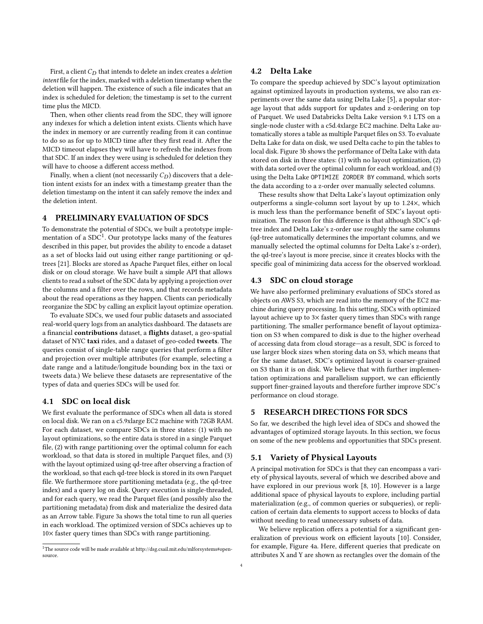First, a client  $C_D$  that intends to delete an index creates a *deletion* intent file for the index, marked with a deletion timestamp when the deletion will happen. The existence of such a file indicates that an index is scheduled for deletion; the timestamp is set to the current time plus the MICD.

Then, when other clients read from the SDC, they will ignore any indexes for which a deletion intent exists. Clients which have the index in memory or are currently reading from it can continue to do so as for up to MICD time after they first read it. After the MICD timeout elapses they will have to refresh the indexes from that SDC. If an index they were using is scheduled for deletion they will have to choose a different access method.

Finally, when a client (not necessarily  $C_D$ ) discovers that a deletion intent exists for an index with a timestamp greater than the deletion timestamp on the intent it can safely remove the index and the deletion intent.

## <span id="page-3-0"></span>4 PRELIMINARY EVALUATION OF SDCS

To demonstrate the potential of SDCs, we built a prototype imple-mentation of a SDC<sup>[1](#page-3-2)</sup>. Our prototype lacks many of the features described in this paper, but provides the ability to encode a dataset as a set of blocks laid out using either range partitioning or qdtrees [\[21\]](#page-5-17). Blocks are stored as Apache Parquet files, either on local disk or on cloud storage. We have built a simple API that allows clients to read a subset of the SDC data by applying a projection over the columns and a filter over the rows, and that records metadata about the read operations as they happen. Clients can periodically reorganize the SDC by calling an explicit layout optimize operation.

To evaluate SDCs, we used four public datasets and associated real-world query logs from an analytics dashboard. The datasets are a financial contributions dataset, a flights dataset, a geo-spatial dataset of NYC taxi rides, and a dataset of geo-coded tweets. The queries consist of single-table range queries that perform a filter and projection over multiple attributes (for example, selecting a date range and a latitude/longitude bounding box in the taxi or tweets data.) We believe these datasets are representative of the types of data and queries SDCs will be used for.

#### 4.1 SDC on local disk

We first evaluate the performance of SDCs when all data is stored on local disk. We ran on a c5.9xlarge EC2 machine with 72GB RAM. For each dataset, we compare SDCs in three states: (1) with no layout optimizations, so the entire data is stored in a single Parquet file, (2) with range partitioning over the optimal column for each workload, so that data is stored in multiple Parquet files, and (3) with the layout optimized using qd-tree after observing a fraction of the workload, so that each qd-tree block is stored in its own Parquet file. We furthermore store partitioning metadata (e.g., the qd-tree index) and a query log on disk. Query execution is single-threaded, and for each query, we read the Parquet files (and possibly also the partitioning metadata) from disk and materialize the desired data as an Arrow table. Figure [3a](#page-4-0) shows the total time to run all queries in each workload. The optimized version of SDCs achieves up to 10× faster query times than SDCs with range partitioning.

#### 4.2 Delta Lake

To compare the speedup achieved by SDC's layout optimization against optimized layouts in production systems, we also ran experiments over the same data using Delta Lake [\[5\]](#page-5-4), a popular storage layout that adds support for updates and z-ordering on top of Parquet. We used Databricks Delta Lake version 9.1 LTS on a single-node cluster with a c5d.4xlarge EC2 machine. Delta Lake automatically stores a table as multiple Parquet files on S3. To evaluate Delta Lake for data on disk, we used Delta cache to pin the tables to local disk. Figure [3b](#page-4-0) shows the performance of Delta Lake with data stored on disk in three states: (1) with no layout optimization, (2) with data sorted over the optimal column for each workload, and (3) using the Delta Lake OPTIMIZE ZORDER BY command, which sorts the data according to a z-order over manually selected columns.

These results show that Delta Lake's layout optimization only outperforms a single-column sort layout by up to 1.24×, which is much less than the performance benefit of SDC's layout optimization. The reason for this difference is that although SDC's qdtree index and Delta Lake's z-order use roughly the same columns (qd-tree automatically determines the important columns, and we manually selected the optimal columns for Delta Lake's z-order), the qd-tree's layout is more precise, since it creates blocks with the specific goal of minimizing data access for the observed workload.

#### 4.3 SDC on cloud storage

We have also performed preliminary evaluations of SDCs stored as objects on AWS S3, which are read into the memory of the EC2 machine during query processing. In this setting, SDCs with optimized layout achieve up to 3× faster query times than SDCs with range partitioning. The smaller performance benefit of layout optimization on S3 when compared to disk is due to the higher overhead of accessing data from cloud storage—as a result, SDC is forced to use larger block sizes when storing data on S3, which means that for the same dataset, SDC's optimized layout is coarser-grained on S3 than it is on disk. We believe that with further implementation optimizations and parallelism support, we can efficiently support finer-grained layouts and therefore further improve SDC's performance on cloud storage.

# <span id="page-3-1"></span>5 RESEARCH DIRECTIONS FOR SDCS

So far, we described the high level idea of SDCs and showed the advantages of optimized storage layouts. In this section, we focus on some of the new problems and opportunities that SDCs present.

#### 5.1 Variety of Physical Layouts

A principal motivation for SDCs is that they can encompass a variety of physical layouts, several of which we described above and have explored in our previous work [\[8,](#page-5-7) [10\]](#page-5-8). However is a large additional space of physical layouts to explore, including partial materialization (e.g., of common queries or subqueries), or replication of certain data elements to support access to blocks of data without needing to read unnecessary subsets of data.

We believe replication offers a potential for a significant generalization of previous work on efficient layouts [\[10\]](#page-5-8). Consider, for example, Figure [4a.](#page-4-1) Here, different queries that predicate on attributes X and Y are shown as rectangles over the domain of the

<span id="page-3-2"></span><sup>1</sup>The source code will be made available at [http://dsg.csail.mit.edu/mlforsystems#open](http://dsg.csail.mit.edu/mlforsystems#open-source)[source.](http://dsg.csail.mit.edu/mlforsystems#open-source)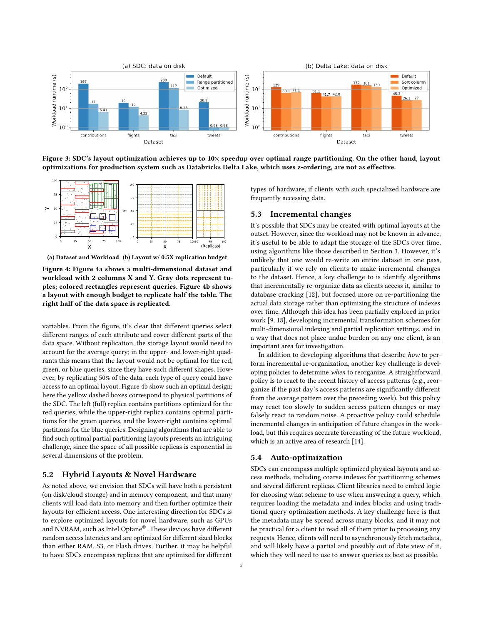<span id="page-4-0"></span>

Figure 3: SDC's layout optimization achieves up to 10× speedup over optimal range partitioning. On the other hand, layout optimizations for production system such as Databricks Delta Lake, which uses z-ordering, are not as effective.

<span id="page-4-1"></span>

(a) Dataset and Workload (b) Layout w/ 0.5X replication budget

Figure 4: Figure [4a](#page-4-1) shows a multi-dimensional dataset and workload with 2 columns X and Y. Gray dots represent tuples; colored rectangles represent queries. Figure [4b](#page-4-1) shows a layout with enough budget to replicate half the table. The right half of the data space is replicated.

variables. From the figure, it's clear that different queries select different ranges of each attribute and cover different parts of the data space. Without replication, the storage layout would need to account for the average query; in the upper- and lower-right quadrants this means that the layout would not be optimal for the red, green, or blue queries, since they have such different shapes. However, by replicating 50% of the data, each type of query could have access to an optimal layout. Figure [4b](#page-4-1) show such an optimal design; here the yellow dashed boxes correspond to physical partitions of the SDC. The left (full) replica contains partitions optimized for the red queries, while the upper-right replica contains optimal partitions for the green queries, and the lower-right contains optimal partitions for the blue queries. Designing algorithms that are able to find such optimal partial partitioning layouts presents an intriguing challenge, since the space of all possible replicas is exponential in several dimensions of the problem.

## 5.2 Hybrid Layouts & Novel Hardware

As noted above, we envision that SDCs will have both a persistent (on disk/cloud storage) and in memory component, and that many clients will load data into memory and then further optimize their layouts for efficient access. One interesting direction for SDCs is to explore optimized layouts for novel hardware, such as GPUs and NVRAM, such as Intel Optane®. These devices have different random access latencies and are optimized for different sized blocks than either RAM, S3, or Flash drives. Further, it may be helpful to have SDCs encompass replicas that are optimized for different types of hardware, if clients with such specialized hardware are frequently accessing data.

## 5.3 Incremental changes

It's possible that SDCs may be created with optimal layouts at the outset. However, since the workload may not be known in advance, it's useful to be able to adapt the storage of the SDCs over time, using algorithms like those described in Section [3.](#page-1-1) However, it's unlikely that one would re-write an entire dataset in one pass, particularly if we rely on clients to make incremental changes to the dataset. Hence, a key challenge to is identify algorithms that incrementally re-organize data as clients access it, similar to database cracking [\[12\]](#page-5-15), but focused more on re-partitioning the actual data storage rather than optimizing the structure of indexes over time. Although this idea has been partially explored in prior work [\[9,](#page-5-18) [18\]](#page-5-11), developing incremental transformation schemes for multi-dimensional indexing and partial replication settings, and in a way that does not place undue burden on any one client, is an important area for investigation.

In addition to developing algorithms that describe how to perform incremental re-organization, another key challenge is developing policies to determine when to reorganize. A straightforward policy is to react to the recent history of access patterns (e.g., reorganize if the past day's access patterns are significantly different from the average pattern over the preceding week), but this policy may react too slowly to sudden access pattern changes or may falsely react to random noise. A proactive policy could schedule incremental changes in anticipation of future changes in the workload, but this requires accurate forecasting of the future workload, which is an active area of research [\[14\]](#page-5-19).

#### 5.4 Auto-optimization

SDCs can encompass multiple optimized physical layouts and access methods, including coarse indexes for partitioning schemes and several different replicas. Client libraries need to embed logic for choosing what scheme to use when answering a query, which requires loading the metadata and index blocks and using traditional query optimization methods. A key challenge here is that the metadata may be spread across many blocks, and it may not be practical for a client to read all of them prior to processing any requests. Hence, clients will need to asynchronously fetch metadata, and will likely have a partial and possibly out of date view of it, which they will need to use to answer queries as best as possible.